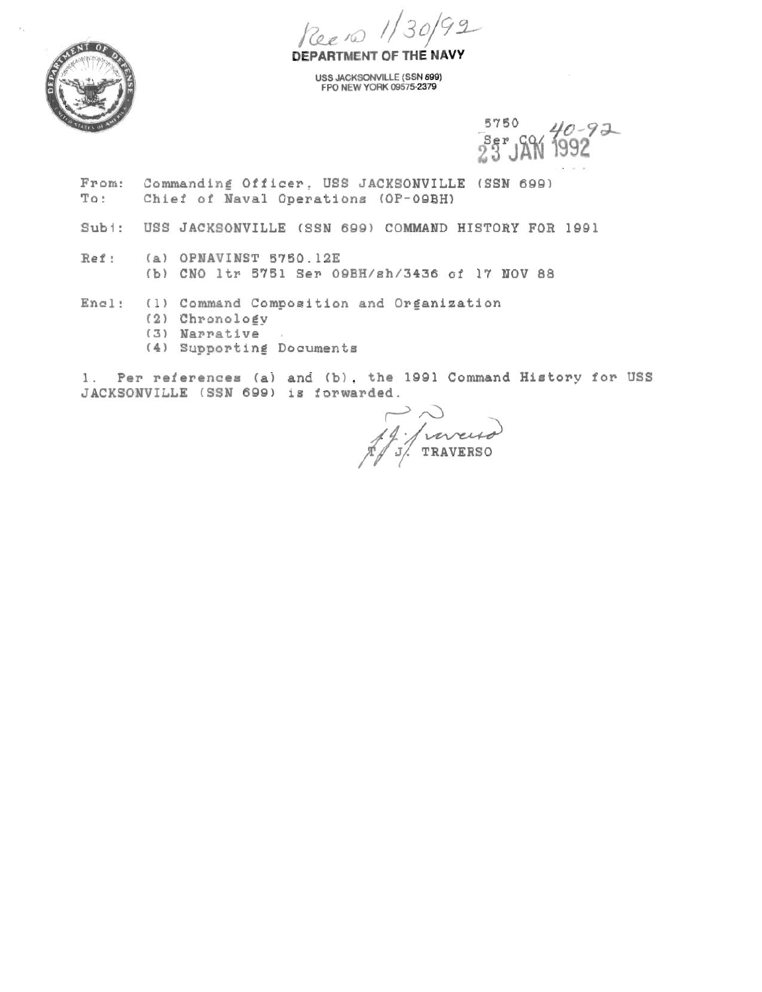Reeno 1/30/92



DEPARTMENT OF THE NAVY

**USS JACKSONVILLE (SSN 699) ?PO NEW YORK 095752379** 

> 5750  $40 - 92$  $3e^p$  $CQ$

- From: Commanding Officer, USS JACKSONVILLE (SSN 699)<br>To: Chief of Naval Operations (OP-09BH) **To** : **Chief of Naval Operations (OP-OQBH)**
- Subi: USS JACKSONVILLE (SSN 699) COMMAND HISTORY FOR 1991
- **Ref** : **(a) OPNAVINST 5750.12E** 
	- **ib) CNO ltr 5751 Ser OQBH/sh/3436 of 17 NOV 88**
- **Encl: (1) Command Composition and Organization** 
	- **(2) ChronoloEv**
	- **(3) Narrative**
	- **(4) Supportins** Documents

**1. Per references (a) and Ib), the 1991 Command History for USS JACKSONVILLE (SSN 699) is forwarded.** 

J Jurus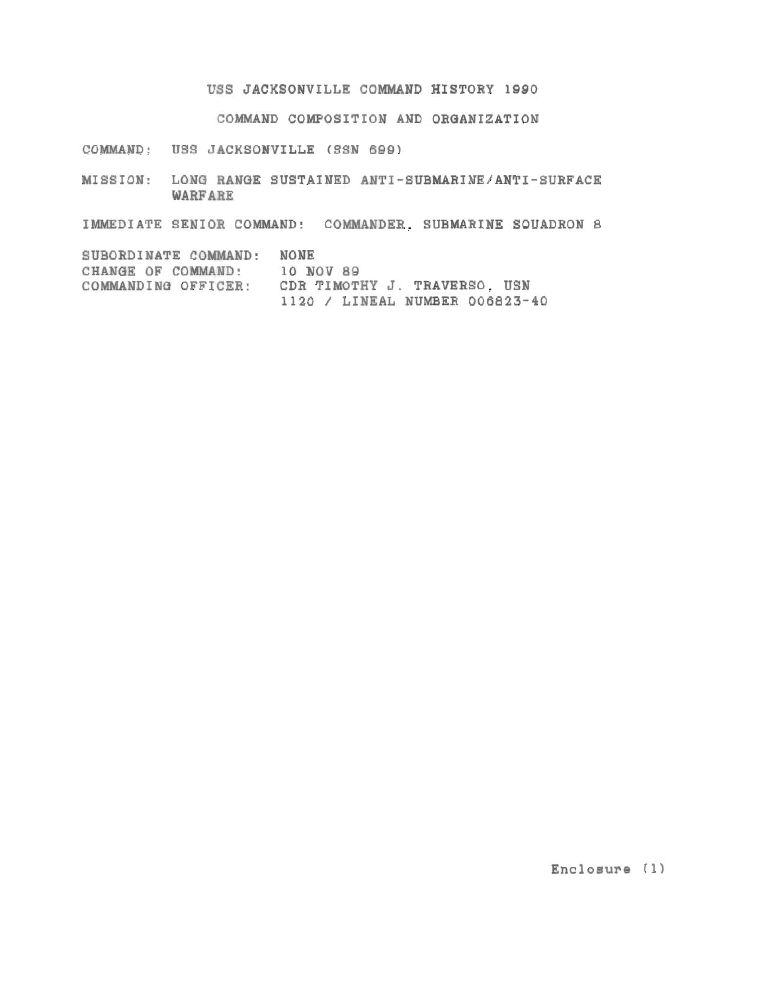## **USS JACKSONVILLE COMMAND HISTORY 1990**

**COMMAND COMPOSITION AND ORQANIZATION** 

**COMMAND:** USS JACKSONVILLE (SSN 699)

**MISSION: LONG RANOE SUSTAINED ANTI-SUBMARINE/ANTI-SURFACE WARFARE** 

**IMMEDIATE SENIOR COMMAND: COMMANDER. SUBMARINE SQUADRON 8** 

**SUBORDINATE COMMAND: NONE CHANGE OF COMMAND: 10 NOV 88 COMMANDIND OFFICER! CDR TIMOTHY J. TRAVERSO. USN <sup>1120</sup>**/ **LINEAL NUMBER 006823-40** 

**Enclosure** ( **1)**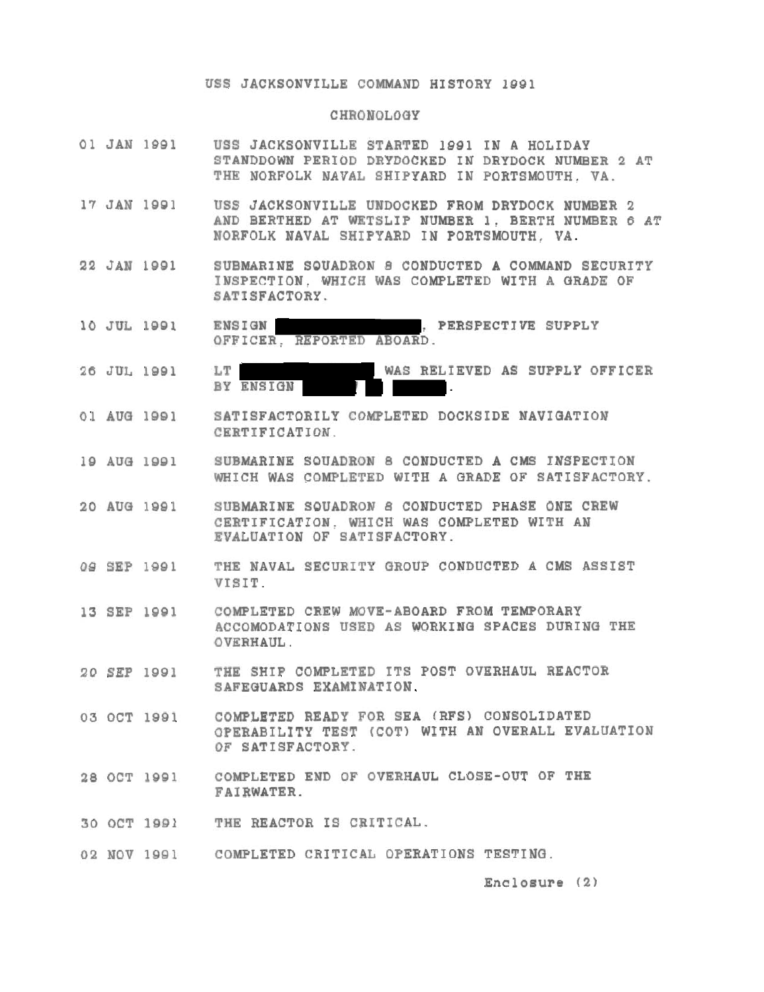## **USS JACKSONVILLE COMMAND HISTORY 1991**

## CHRONOLOGY

- **01 JAN 1991 USS JACKSONVILLE STARTED 1991 IN A HOLIDAY STANDDOWN PERIOD DRYDOCKED IN DRYDOCK NUMBER 2 AT THE NORFOLK NAVAL SHIPYARD IN PORTSMOUTH. VA.**
- **17 JAN 1981 USS JACKSONVILLE UNDOCKED FROM DRYDOCK NUMBER 2 AND BERTHED AT WETSLIP NUMBER 1, BERTH NUMBER 6 AT FORFOLK NAVAL SHYYARD IN PORTSMOUTH, VA.**
- **22 JAN leg1 SUBMARINE SOUADRON 8 CONDUCTED A COMMAND SECURITY INSPECTION. WHICH WAS COMPLETED WITH A QRADE OF SATISFACTORY.**
- **10 JUL 1991**  ENSIGN **REASPECTIVE SUPPLY OFFICER, REPORTED ABOARD.**
- **26 JUL 1881 LT WAS RELIEVED AS SUPPLY OFFICER**  BY ENSIGN
- **01 AUQ 1891 SATISFACTORILY COMPLETED DOCKSIDE NAVIQATION CERTIFICATION.**
- **19 AUQ leg1 SUBMARINE SOUADRON 8 CONDUCTED A CMS INSPECTION WHICH WAS COMPLETED WITH A QRADE OF SATISFACTORY.**
- **20 AUQ 1991 SUBMARINE SOUADRON 8 CONDUCTED PHASE ONE CREW CERTIFICATION. WHICH WAS COMPLETED WITH AN EVALUATION OF SATISFACTORY.**
- **09 SEP lQQl THE NAVAL SECURITY aROUP CONDUCTED A CMS ASSIST VISIT.**
- **13 SEP 1991 COMPLETED CREW MOVE-ABOARD FROM TEMPORARY ACCOMODATIONS USED AS WORKIN0 SPACES DURINO THE OVERHAUL.**
- **20 SEP 1991 THE SHIP COMPLETED ITS POST OVERHAUL REACTOR SAFEGUARDS EXAMINATION.**
- **03 OCT 1991 COMPLETED READY FOR SEA (RFSI CONSOLIDATED OPERABILITY TEST (COT) WITH AN OVERALL EVALUATION OF SATISFACTORY.**
- **28 OCT 1991 COMPLETED END OF OVERHAUL CLOSE-OUT OF THE FAIRWATER.**
- **30 OCT lael THE REACTOR IS CRITICAL.**
- 02 NOV 1991 COMPLETED CRITICAL OPERATIONS TESTING.

Enclosure (2)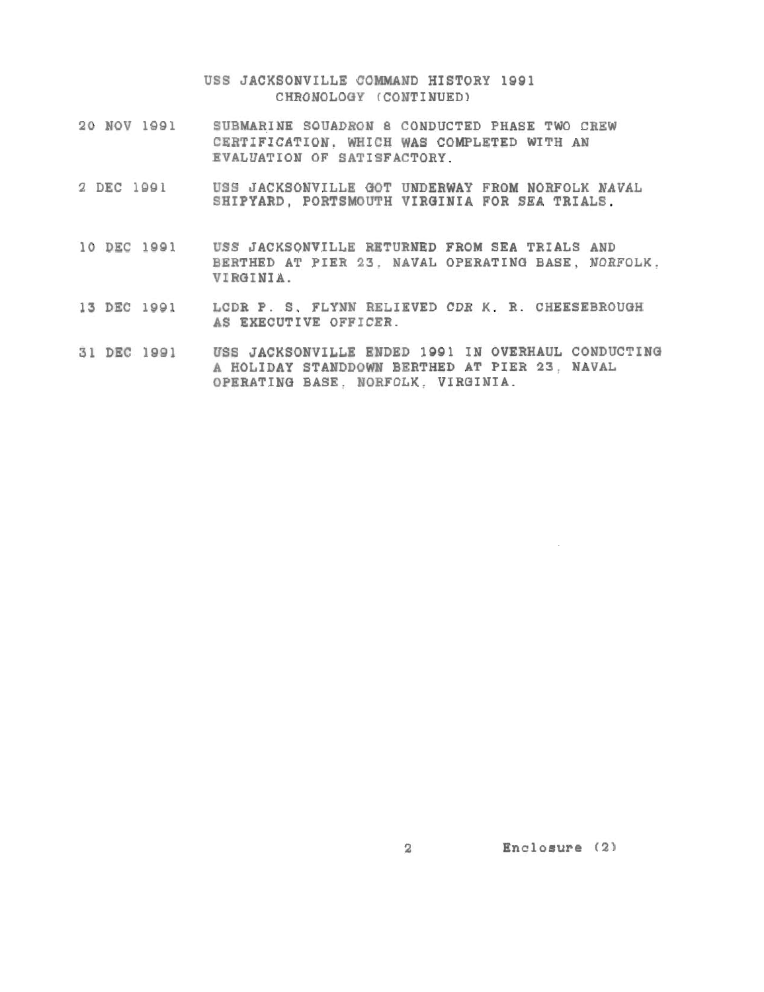**USS JACKSONVILLE COMMAND HISTORY lgQl CHRONOLOaY (CONTINUED)** 

- **20 NOV 1981 SUBMARINE SOUADRON 8 CONDUCTED PHASE TWO CREW CERTIFICATION. WHICH WAS COMPLETED WITH AN EVALUATION OF SATISFACTORY.**
- **2 DEC 1881 USS JACKSONVILLE OOT UNDERWAY FROM NORFOLK NAVAL SHIPYARD, PORTSMOUTH VIROINIA FOR SEA TRIALS.**
- **10 DEC 1881 USS JACKSONVILLE RETURNED FROM SEA TRIALS AND**  BERTHED AT PIER 23. NAVAL OPERATING BASE. NORFOLK. **VIROINIA.**
- **13 DEC 1901 LCDR P. S. FLYNN RELIEVED CDR K. R. CHEESEBROUQH AS EXECUTIVE OFFICER.**
- **31 DEC 1091 USS JACKSONVILLE ENDED 1991 IN OVERHAUL CONDUCTINQ A HOLIDAY STANDDOWN BERTHED AT PIER 23. NAVAL OPERATING BASE.** NOSFOLK. **VIRQINIA.**